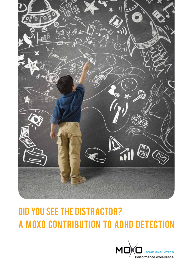

# **DID YOU SEE THE DISTRACTOR?** A MOXO CONTRIBUTION TO ADHD DETECTION

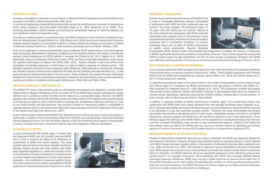#### Distractibility in ADHD

Increased vulnerability to distraction is a key feature of Attention-Deficit Hyperactivity Disorder (ADHD) and is included in the DSM-V criteria of the disorder (APA, 2013).

In contrast to hyperactivity, distractibility symptoms often persist into adulthood and contribute to interpersonal, social, family, academic, and work-related difficulties (Eakin et al., 2004; Biederman et al., 2006). Thus, identifying distractibility in ADHD patients and clarifying the distractibility features for individual patients can have significant clinical and diagnostic value.

The failure of existing studies to consistently show that ADHD patients are more sensitive to distractors than their non-affected peers (Huang-Pollock et al., 2006; Mason et al., 2005) has led some researchers to question whether selective attention is a core deficit in ADHD or whether attentional problems are secondary to deficits of alertness (Huang-Pollock et al., 2005) or other executive processes such as inhibition (Barkley, 1997).

One of the challenges in measuring distractibility during traditional ADHD assessments is that neurocognitive tasks are typically administered in laboratory conditions and are therefore limited in their ability to simulate the sensory context experienced by ADHD patients in everyday life (Pelham et al., 2011; Rapport et al., 2000). Specifically, nearly all Continuous Performance Tests (CPTs) are free of meaningful distractions which impact the cognitive performance of children with ADHD (APA, 2013). Another limitation is that most CPTs involve competition of potential responses in which there is a need to inhibit a response to irrelevant stimuli. This paradigm has been criticized for its low ecological validity (Blakeman, 2000) because in everyday life, individuals are required to ignore a stimulus that is external to the task and not conflicting with task demands (e.g., a child doing schoolwork while someone talks in the next room). These limitations may explain the loose association between CPT performance and behavioral measures of inattention and hyperactivity, such as those reported by parents and teachers in symptoms rating scales (McGee et al., 2000; Weis and Totten, 2004).

#### Measuring distractibility using the MOXO- CPT

The MOXO-CPT (Neuro Tech Solutions Ltd) is a standardized computerized test designed to identify ADHDrelated behavior (Berger & Goldzweig, 2010). As in other CPTs, the MOXO task requires a participant to sustain attention over a continuous stream of stimuli and to respond to a pre-specified target. However, the MOXO paradigm also includes intentionally distracting visual and auditory stimuli which appear during specific phases of the test and are typical in their content to items in everyday life. As distractors external to the task (i.e., they do not conflict directly with task demands), they provide a context for measuring a patient's susceptibility to irrelevant periodic stimuli in the environment rather than ongoing background stimuli or distractors that are part of the cognitive task itself (Van Mourik et al., 2007).

In both child and adult versions of the MOXO Test, distractors can be exclusively visual, exclusively auditory, or multi-modal. In addition, there are two levels of distraction intensity: low-level distraction, where one distracting stimulus appears at a time, and high distraction intensity, where two distracting stimuli appear simultaneously. A number of studies have been conducted to test the use of this paradigm in different populations.

## Distractibility in Children

A study conducted with 663 children ages 7-12 years (345 with diagnosed ADHD and 318 controls) used the MOXO Test in order to examine the effect of the distractors on performance of ADHD and control subjects. This study used the rate of omission errors as an indication of attention difficulty. Results showed that while children with ADHD were negatively impacted (i.e., made more omission errors in the presence of all types of distractors), the performance of control subjects was affected only by the most intensive distractors – the combination of visual and auditory stimuli. This result underscores the relative susceptibility of ADHD patients to environmental distraction (Cassuto et al., 2013).



#### Distractibility in adolescents

Another study used the teen/adult version of the MOXO Test in order to investigate differences between distractibility in adolescents with ADHD and their unaffected peers as controls. This study included 176 adolescents ages 13- 18 years (133 with ADHD and 43 controls). Results of this study showed that adolescents with ADHD produced significantly more omission errors in the presence of pure visual distractors and the combination of visual and auditory distractors than in no-distractor conditions. In contrast, distracting stimuli had no effect on MOXO performance of healthy control adolescents. Receiver Operating Characteristic (ROC) analysis further demonstrated that independent of modality, the inclusion of distractors in MOXO significantly improved the sensitivity and specificity of the test. These results support the concept that ADHD is indeed marked by high distractibility and that, like their younger counterparts, teenagers with ADHD have difficulty sustaining attention in the presence of irrelevant environmental stimuli (Berger & Cassuto, 2014).

### How is distractibility associated with maturation?

It is commonly argued that ADHD symptoms are associated with maturational delay that gradually diminishes during adolescence in a majority of patients (Faraone et al., 2006). These pediatric populations with inhibitory deficits such as ADHD are characterized by reduced volume (Batty et al., 2010) and activity (Casey et al., 2011) in fronto-basal brain networks.

To examine the functional impact of this phenomenon in the context of distractibility, a cross-sectional study with children ages 6-11 compared the MOXO performance of six age groups of children with ADHD ( $N =$ 559) compared to unaffected peers ( $N = 365$ ) (Berger et al., 2013). This comparison revealed that despite improvement across childhood, children with ADHD continued to demonstrate impairments as compared to normal controls. Specifically, attentional performance of ADHD children matched that of normal controls 1-3 years younger, with an effect most prominent in older children.

In addition, a separate analysis of MOXO performance of children ages 7-18 revealed that children and adolescents with ADHD were more readily distracted than their typically developing peers (Slobodin et al., 2015). Although distractibility diminished with advancing age in control adolescents, those with ADHD continued to be distracted in a way that resembled younger controls. Therefore, this study demonstrated that despite age-related improvement in attentional function in both groups, distractibility tended to diminish in non-ADHD adolescents, whereas subjects with ADHD were still sensitive to distractors even in late adolescence. These findings suggest that although some ADHD deficits can be explained by a developmental delay that improves over time, increased distractibility, does not show a clear developmental trajectory. Based on this finding, the distractibility results provided by the MOXO test may serve as a valuable criterion for identifying and tracking aspects of functional impairment among ADHD patients that are not apparent from traditional CPTs.

#### Improved performance in the presence of distractors

Results of these studies consistently show that as a group, individuals with ADHD are negatively affected by the presence of distractors. However, literature and anecdotal reports on opposing findings, in which patients with ADHD showed improved cognitive ability in the presence of distractors have also been published (Uno et al., 2006; van Mourik et al., 2007). This diversity of responses may be attributable to the type of distractors used. While studies such as those of Uno et al and Mourik et al (ibid) have utilized neutral stimuli (neutral tone/ letter) for distraction, the MOXO distractor stimuli are specifically designed to mimic distracting sensory input typically found in an everyday environment. Since individuals with ADHD have increased difficulty filtering meaningful distractors (Blakeman, 2000), they may fail to inhibit responses to relevant stimuli rather than to the neutral information used in other studies. By specifying this condition as well as providing baseline epochs which do not include distractors, the MOXO Test allows for clinician insight into the effects of salient distractors which more-closely model real-world attentional challenges.